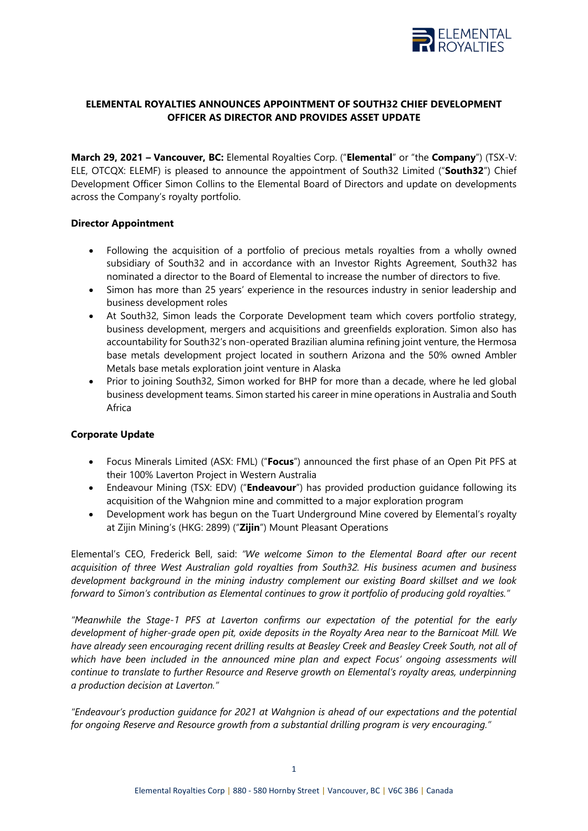

# **ELEMENTAL ROYALTIES ANNOUNCES APPOINTMENT OF SOUTH32 CHIEF DEVELOPMENT OFFICER AS DIRECTOR AND PROVIDES ASSET UPDATE**

**March 29, 2021 – Vancouver, BC:** Elemental Royalties Corp. ("**Elemental**" or "the **Company**") (TSX-V: ELE, OTCQX: ELEMF) is pleased to announce the appointment of South32 Limited ("**South32**") Chief Development Officer Simon Collins to the Elemental Board of Directors and update on developments across the Company's royalty portfolio.

## **Director Appointment**

- Following the acquisition of a portfolio of precious metals royalties from a wholly owned subsidiary of South32 and in accordance with an Investor Rights Agreement, South32 has nominated a director to the Board of Elemental to increase the number of directors to five.
- Simon has more than 25 years' experience in the resources industry in senior leadership and business development roles
- At South32, Simon leads the Corporate Development team which covers portfolio strategy, business development, mergers and acquisitions and greenfields exploration. Simon also has accountability for South32's non-operated Brazilian alumina refining joint venture, the Hermosa base metals development project located in southern Arizona and the 50% owned Ambler Metals base metals exploration joint venture in Alaska
- Prior to joining South32, Simon worked for BHP for more than a decade, where he led global business development teams. Simon started his career in mine operations in Australia and South Africa

## **Corporate Update**

- Focus Minerals Limited (ASX: FML) ("**Focus**") announced the first phase of an Open Pit PFS at their 100% Laverton Project in Western Australia
- Endeavour Mining (TSX: EDV) ("**Endeavour**") has provided production guidance following its acquisition of the Wahgnion mine and committed to a major exploration program
- Development work has begun on the Tuart Underground Mine covered by Elemental's royalty at Zijin Mining's (HKG: 2899) ("**Zijin**") Mount Pleasant Operations

Elemental's CEO, Frederick Bell, said: *"We welcome Simon to the Elemental Board after our recent acquisition of three West Australian gold royalties from South32. His business acumen and business development background in the mining industry complement our existing Board skillset and we look forward to Simon's contribution as Elemental continues to grow it portfolio of producing gold royalties."*

*"Meanwhile the Stage-1 PFS at Laverton confirms our expectation of the potential for the early development of higher-grade open pit, oxide deposits in the Royalty Area near to the Barnicoat Mill. We have already seen encouraging recent drilling results at Beasley Creek and Beasley Creek South, not all of which have been included in the announced mine plan and expect Focus' ongoing assessments will continue to translate to further Resource and Reserve growth on Elemental's royalty areas, underpinning a production decision at Laverton."*

*"Endeavour's production guidance for 2021 at Wahgnion is ahead of our expectations and the potential for ongoing Reserve and Resource growth from a substantial drilling program is very encouraging."*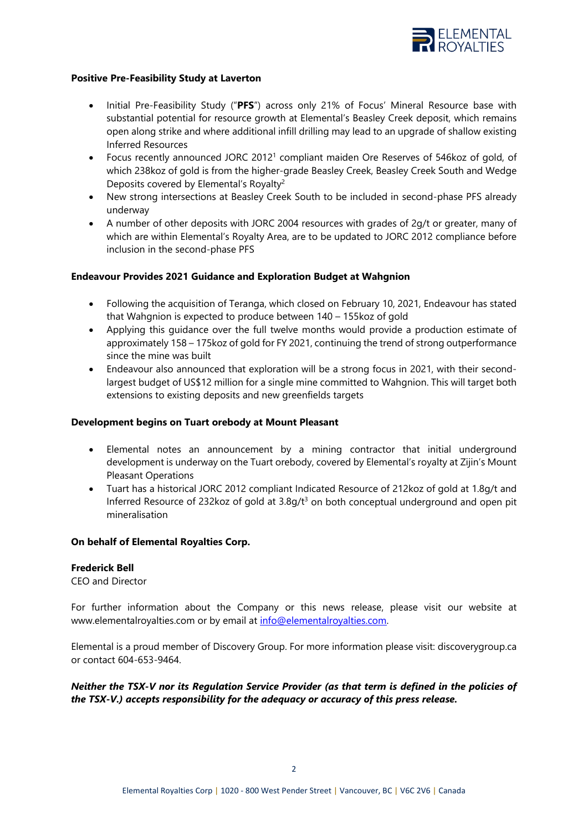

#### **Positive Pre-Feasibility Study at Laverton**

- Initial Pre-Feasibility Study ("**PFS**") across only 21% of Focus' Mineral Resource base with substantial potential for resource growth at Elemental's Beasley Creek deposit, which remains open along strike and where additional infill drilling may lead to an upgrade of shallow existing Inferred Resources
- Focus recently announced JORC 2012<sup>1</sup> compliant maiden Ore Reserves of 546koz of gold, of which 238koz of gold is from the higher-grade Beasley Creek, Beasley Creek South and Wedge Deposits covered by Elemental's Royalty<sup>2</sup>
- New strong intersections at Beasley Creek South to be included in second-phase PFS already underway
- A number of other deposits with JORC 2004 resources with grades of 2g/t or greater, many of which are within Elemental's Royalty Area, are to be updated to JORC 2012 compliance before inclusion in the second-phase PFS

## **Endeavour Provides 2021 Guidance and Exploration Budget at Wahgnion**

- Following the acquisition of Teranga, which closed on February 10, 2021, Endeavour has stated that Wahgnion is expected to produce between 140 – 155koz of gold
- Applying this guidance over the full twelve months would provide a production estimate of approximately 158 – 175koz of gold for FY 2021, continuing the trend of strong outperformance since the mine was built
- Endeavour also announced that exploration will be a strong focus in 2021, with their secondlargest budget of US\$12 million for a single mine committed to Wahgnion. This will target both extensions to existing deposits and new greenfields targets

#### **Development begins on Tuart orebody at Mount Pleasant**

- Elemental notes an announcement by a mining contractor that initial underground development is underway on the Tuart orebody, covered by Elemental's royalty at Zijin's Mount Pleasant Operations
- Tuart has a historical JORC 2012 compliant Indicated Resource of 212koz of gold at 1.8g/t and Inferred Resource of 232koz of gold at  $3.8q/t^3$  on both conceptual underground and open pit mineralisation

#### **On behalf of Elemental Royalties Corp.**

#### **Frederick Bell**

CEO and Director

For further information about the Company or this news release, please visit our website at www.elementalroyalties.com or by email at [info@elementalroyalties.com.](mailto:info@elementalroyalties.com)

Elemental is a proud member of Discovery Group. For more information please visit: discoverygroup.ca or contact 604-653-9464.

# *Neither the TSX-V nor its Regulation Service Provider (as that term is defined in the policies of the TSX-V.) accepts responsibility for the adequacy or accuracy of this press release.*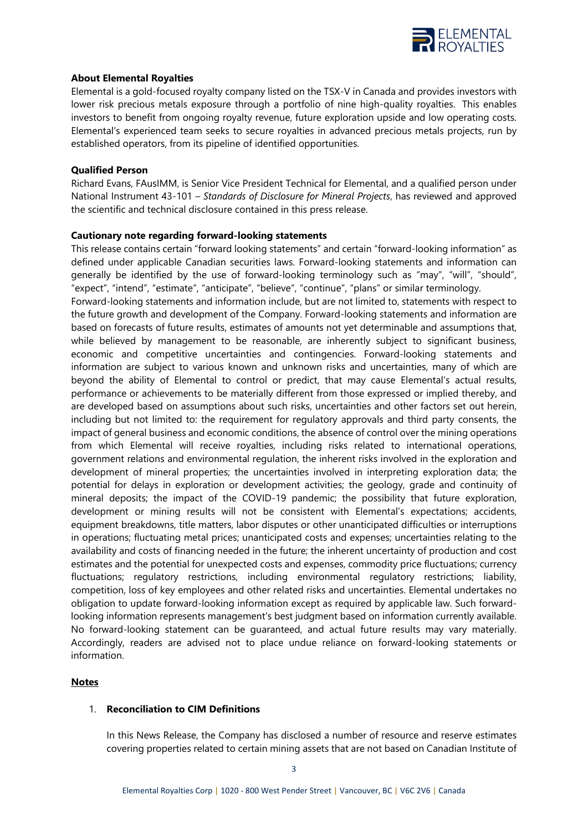

## **About Elemental Royalties**

Elemental is a gold-focused royalty company listed on the TSX-V in Canada and provides investors with lower risk precious metals exposure through a portfolio of nine high-quality royalties. This enables investors to benefit from ongoing royalty revenue, future exploration upside and low operating costs. Elemental's experienced team seeks to secure royalties in advanced precious metals projects, run by established operators, from its pipeline of identified opportunities.

### **Qualified Person**

Richard Evans, FAusIMM, is Senior Vice President Technical for Elemental, and a qualified person under National Instrument 43-101 – *Standards of Disclosure for Mineral Projects*, has reviewed and approved the scientific and technical disclosure contained in this press release.

### **Cautionary note regarding forward-looking statements**

This release contains certain "forward looking statements" and certain "forward-looking information" as defined under applicable Canadian securities laws. Forward-looking statements and information can generally be identified by the use of forward-looking terminology such as "may", "will", "should", "expect", "intend", "estimate", "anticipate", "believe", "continue", "plans" or similar terminology.

Forward-looking statements and information include, but are not limited to, statements with respect to the future growth and development of the Company. Forward-looking statements and information are based on forecasts of future results, estimates of amounts not yet determinable and assumptions that, while believed by management to be reasonable, are inherently subject to significant business, economic and competitive uncertainties and contingencies. Forward-looking statements and information are subject to various known and unknown risks and uncertainties, many of which are beyond the ability of Elemental to control or predict, that may cause Elemental's actual results, performance or achievements to be materially different from those expressed or implied thereby, and are developed based on assumptions about such risks, uncertainties and other factors set out herein, including but not limited to: the requirement for regulatory approvals and third party consents, the impact of general business and economic conditions, the absence of control over the mining operations from which Elemental will receive royalties, including risks related to international operations, government relations and environmental regulation, the inherent risks involved in the exploration and development of mineral properties; the uncertainties involved in interpreting exploration data; the potential for delays in exploration or development activities; the geology, grade and continuity of mineral deposits; the impact of the COVID-19 pandemic; the possibility that future exploration, development or mining results will not be consistent with Elemental's expectations; accidents, equipment breakdowns, title matters, labor disputes or other unanticipated difficulties or interruptions in operations; fluctuating metal prices; unanticipated costs and expenses; uncertainties relating to the availability and costs of financing needed in the future; the inherent uncertainty of production and cost estimates and the potential for unexpected costs and expenses, commodity price fluctuations; currency fluctuations; regulatory restrictions, including environmental regulatory restrictions; liability, competition, loss of key employees and other related risks and uncertainties. Elemental undertakes no obligation to update forward-looking information except as required by applicable law. Such forwardlooking information represents management's best judgment based on information currently available. No forward-looking statement can be guaranteed, and actual future results may vary materially. Accordingly, readers are advised not to place undue reliance on forward-looking statements or information.

## **Notes**

## 1. **Reconciliation to CIM Definitions**

In this News Release, the Company has disclosed a number of resource and reserve estimates covering properties related to certain mining assets that are not based on Canadian Institute of